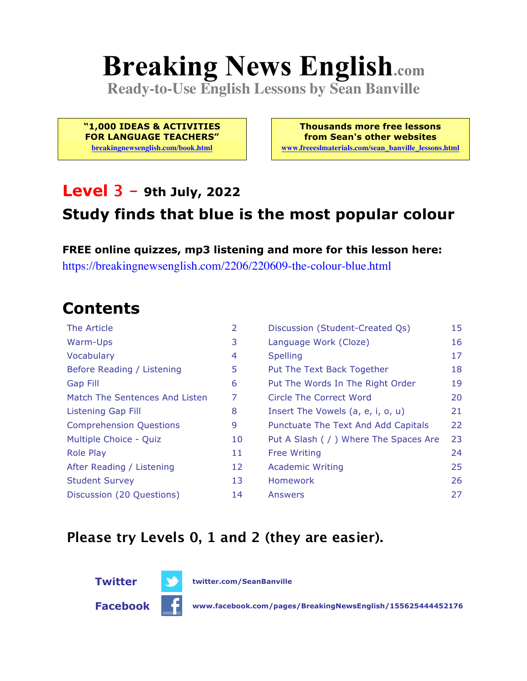# **Breaking News English.com**

**Ready-to-Use English Lessons by Sean Banville**

**"1,000 IDEAS & ACTIVITIES FOR LANGUAGE TEACHERS"**

**breakingnewsenglish.com/book.html**

**Thousands more free lessons from Sean's other websites www.freeeslmaterials.com/sean\_banville\_lessons.html**

#### **Level 3 - 9th July, 2022**

#### **Study finds that blue is the most popular colour**

**FREE online quizzes, mp3 listening and more for this lesson here:** https://breakingnewsenglish.com/2206/220609-the-colour-blue.html

### **Contents**

| The Article                    | 2  | Discussion (Student-Created Qs)        | 15 |
|--------------------------------|----|----------------------------------------|----|
| Warm-Ups                       | 3  | Language Work (Cloze)                  | 16 |
| Vocabulary                     | 4  | <b>Spelling</b>                        | 17 |
| Before Reading / Listening     | 5  | Put The Text Back Together             | 18 |
| Gap Fill                       | 6  | Put The Words In The Right Order       | 19 |
| Match The Sentences And Listen | 7  | Circle The Correct Word                | 20 |
| Listening Gap Fill             | 8  | Insert The Vowels (a, e, i, o, u)      | 21 |
| <b>Comprehension Questions</b> | 9  | Punctuate The Text And Add Capitals    | 22 |
| Multiple Choice - Quiz         | 10 | Put A Slash ( / ) Where The Spaces Are | 23 |
| <b>Role Play</b>               | 11 | <b>Free Writing</b>                    | 24 |
| After Reading / Listening      | 12 | <b>Academic Writing</b>                | 25 |
| <b>Student Survey</b>          | 13 | Homework                               | 26 |
| Discussion (20 Questions)      | 14 | Answers                                | 27 |

#### **Please try Levels 0, 1 and 2 (they are easier).**



**Facebook www.facebook.com/pages/BreakingNewsEnglish/155625444452176**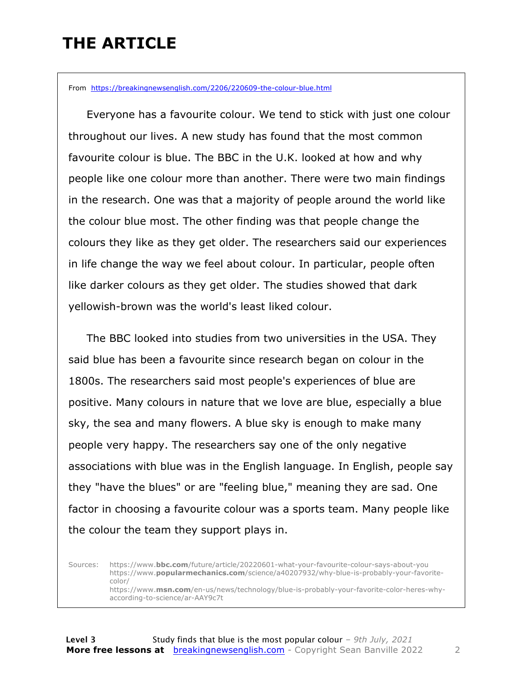### **THE ARTICLE**

From https://breakingnewsenglish.com/2206/220609-the-colour-blue.html

 Everyone has a favourite colour. We tend to stick with just one colour throughout our lives. A new study has found that the most common favourite colour is blue. The BBC in the U.K. looked at how and why people like one colour more than another. There were two main findings in the research. One was that a majority of people around the world like the colour blue most. The other finding was that people change the colours they like as they get older. The researchers said our experiences in life change the way we feel about colour. In particular, people often like darker colours as they get older. The studies showed that dark yellowish-brown was the world's least liked colour.

 The BBC looked into studies from two universities in the USA. They said blue has been a favourite since research began on colour in the 1800s. The researchers said most people's experiences of blue are positive. Many colours in nature that we love are blue, especially a blue sky, the sea and many flowers. A blue sky is enough to make many people very happy. The researchers say one of the only negative associations with blue was in the English language. In English, people say they "have the blues" or are "feeling blue," meaning they are sad. One factor in choosing a favourite colour was a sports team. Many people like the colour the team they support plays in.

Sources: https://www.**bbc.com**/future/article/20220601-what-your-favourite-colour-says-about-you https://www.**popularmechanics.com**/science/a40207932/why-blue-is-probably-your-favoritecolor/ https://www.**msn.com**/en-us/news/technology/blue-is-probably-your-favorite-color-heres-whyaccording-to-science/ar-AAY9c7t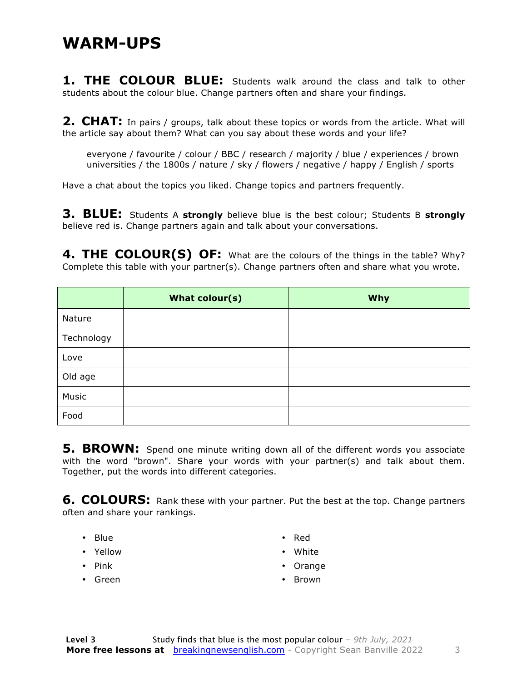#### **WARM-UPS**

1. THE COLOUR BLUE: Students walk around the class and talk to other students about the colour blue. Change partners often and share your findings.

**2. CHAT:** In pairs / groups, talk about these topics or words from the article. What will the article say about them? What can you say about these words and your life?

everyone / favourite / colour / BBC / research / majority / blue / experiences / brown universities / the 1800s / nature / sky / flowers / negative / happy / English / sports

Have a chat about the topics you liked. Change topics and partners frequently.

**3. BLUE:** Students A **strongly** believe blue is the best colour; Students B **strongly** believe red is. Change partners again and talk about your conversations.

**4. THE COLOUR(S) OF:** What are the colours of the things in the table? Why? Complete this table with your partner(s). Change partners often and share what you wrote.

|            | What colour(s) | <b>Why</b> |
|------------|----------------|------------|
| Nature     |                |            |
| Technology |                |            |
| Love       |                |            |
| Old age    |                |            |
| Music      |                |            |
| Food       |                |            |

**5. BROWN:** Spend one minute writing down all of the different words you associate with the word "brown". Share your words with your partner(s) and talk about them. Together, put the words into different categories.

**6. COLOURS:** Rank these with your partner. Put the best at the top. Change partners often and share your rankings.

- Blue
- Yellow
- Pink
- Green
- Red
- White
- Orange
- Brown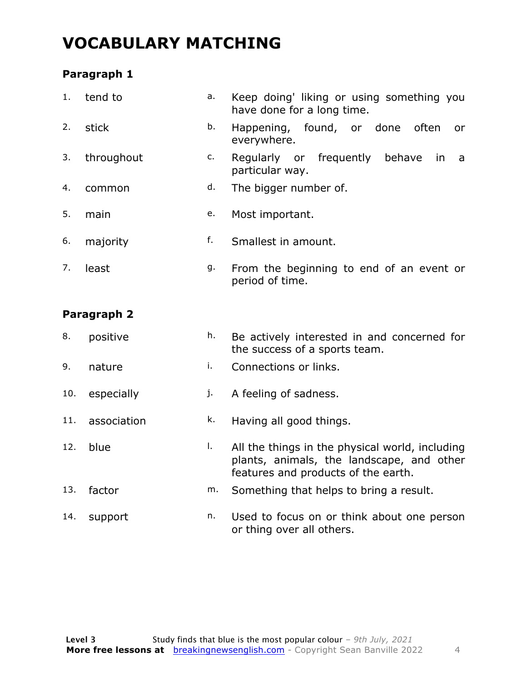### **VOCABULARY MATCHING**

#### **Paragraph 1**

| 1.          | tend to    | a. | Keep doing' liking or using something you<br>have done for a long time. |
|-------------|------------|----|-------------------------------------------------------------------------|
| 2.          | stick      | b. | Happening, found, or done often<br>or<br>everywhere.                    |
| 3.          | throughout | c. | Regularly or frequently behave<br>in<br>a<br>particular way.            |
| 4.          | common     | d. | The bigger number of.                                                   |
| 5.          | main       | е. | Most important.                                                         |
| 6.          | majority   | f. | Smallest in amount.                                                     |
| 7.          | least      | g. | From the beginning to end of an event or<br>period of time.             |
| Paragraph 2 |            |    |                                                                         |

#### 8. positive h. Be actively interested in and concerned for the success of a sports team.

- 9. nature i. Connections or links.
- 10. especially i. A feeling of sadness.
- 11. association **k.** Having all good things.
- 12. blue **l.** All the things in the physical world, including plants, animals, the landscape, and other features and products of the earth.
- 13. factor m. Something that helps to bring a result.
- 14. support n. Used to focus on or think about one person or thing over all others.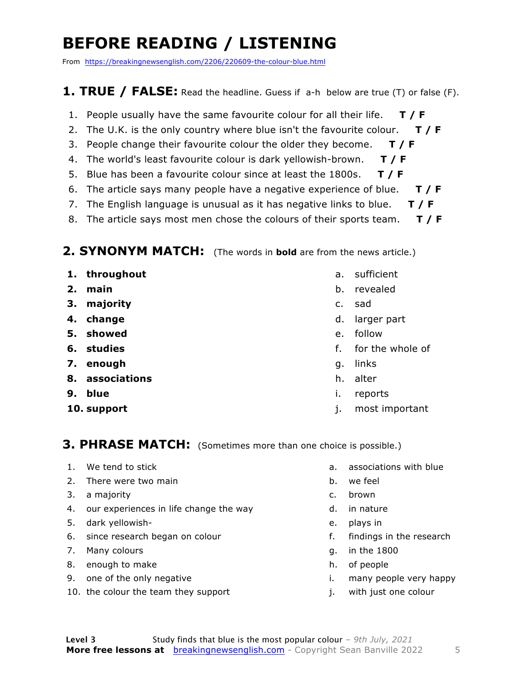### **BEFORE READING / LISTENING**

From https://breakingnewsenglish.com/2206/220609-the-colour-blue.html

#### **1. TRUE / FALSE:** Read the headline. Guess if a-h below are true (T) or false (F).

- 1. People usually have the same favourite colour for all their life. **T / F**
- 2. The U.K. is the only country where blue isn't the favourite colour. **T / F**
- 3. People change their favourite colour the older they become. **T / F**
- 4. The world's least favourite colour is dark yellowish-brown. **T / F**
- 5. Blue has been a favourite colour since at least the 1800s. **T / F**
- 6. The article says many people have a negative experience of blue. **T / F**
- 7. The English language is unusual as it has negative links to blue. **T / F**
- 8. The article says most men chose the colours of their sports team. **T / F**

#### **2. SYNONYM MATCH:** (The words in **bold** are from the news article.)

- **1. throughout**
- **2. main**
- **3. majority**
- **4. change**
- **5. showed**
- **6. studies**
- **7. enough**
- **8. associations**
- **9. blue**
- **10. support**
- a. sufficient
- b. revealed
- c. sad
- d. larger part
- e. follow
- f. for the whole of
- g. links
- h. alter
- i. reports
- j. most important

#### **3. PHRASE MATCH:** (Sometimes more than one choice is possible.)

- 1. We tend to stick
- 2. There were two main
- 3. a majority
- 4. our experiences in life change the way
- 5. dark yellowish-
- 6. since research began on colour
- 7. Many colours
- 8. enough to make
- 9. one of the only negative
- 10. the colour the team they support
- a. associations with blue
- b. we feel
- c. brown
- d. in nature
- e. plays in
- f. findings in the research
- g. in the 1800
- h. of people
- i. many people very happy
- j. with just one colour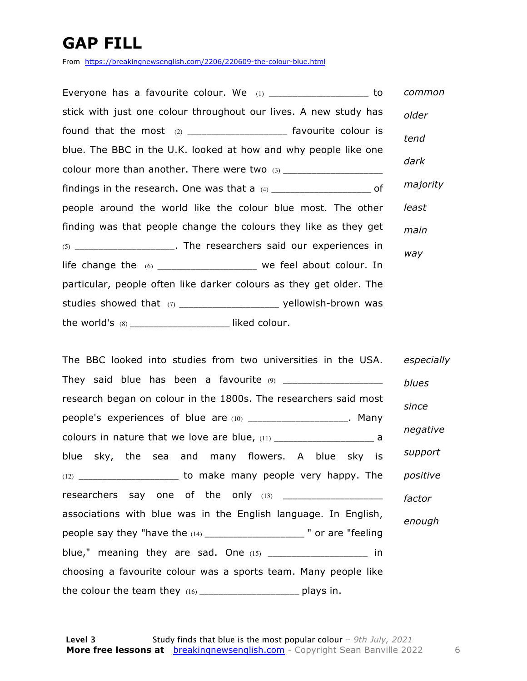### **GAP FILL**

From https://breakingnewsenglish.com/2206/220609-the-colour-blue.html

| Everyone has a favourite colour. We $(1)$ ________________________ to     |  | common   |
|---------------------------------------------------------------------------|--|----------|
| stick with just one colour throughout our lives. A new study has          |  | older    |
| found that the most $(2)$ _______________________ favourite colour is     |  | tend     |
| blue. The BBC in the U.K. looked at how and why people like one           |  |          |
|                                                                           |  | dark     |
| findings in the research. One was that a $(4)$ _______________________ of |  | majority |
| people around the world like the colour blue most. The other              |  | least    |
| finding was that people change the colours they like as they get          |  | main     |
| (5) ______________________. The researchers said our experiences in       |  | way      |
| life change the (6) ______________________ we feel about colour. In       |  |          |
| particular, people often like darker colours as they get older. The       |  |          |
| studies showed that (7) __________________________ yellowish-brown was    |  |          |
| the world's $(8)$ ______________________________ liked colour.            |  |          |

| The BBC looked into studies from two universities in the USA.            | especially |
|--------------------------------------------------------------------------|------------|
|                                                                          | blues      |
| research began on colour in the 1800s. The researchers said most         | since      |
| people's experiences of blue are (10) _____________________. Many        |            |
|                                                                          | negative   |
| blue sky, the sea and many flowers. A blue sky is                        | support    |
|                                                                          | positive   |
| researchers say one of the only (13) _______________________             | factor     |
| associations with blue was in the English language. In English,          | enough     |
| people say they "have the (14) _______________________ " or are "feeling |            |
| blue," meaning they are sad. One $(15)$ _____________________ in         |            |
| choosing a favourite colour was a sports team. Many people like          |            |
| the colour the team they (16) _______________________ plays in.          |            |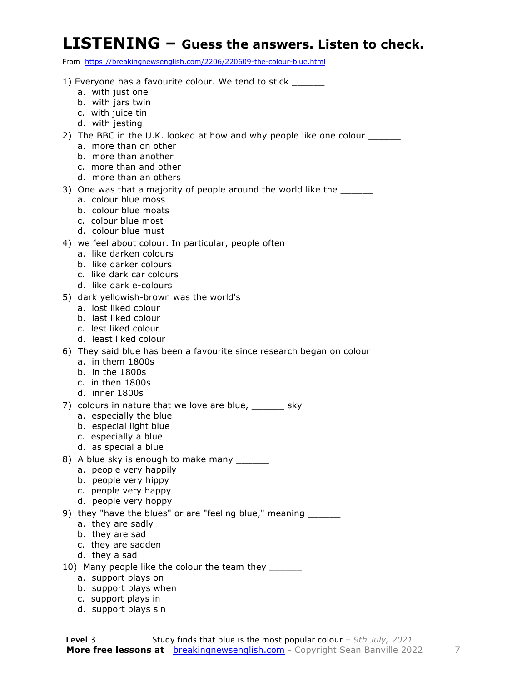#### **LISTENING – Guess the answers. Listen to check.**

From https://breakingnewsenglish.com/2206/220609-the-colour-blue.html

| 1) Everyone has a favourite colour. We tend to stick _______                |
|-----------------------------------------------------------------------------|
| a. with just one                                                            |
| b. with jars twin                                                           |
| c. with juice tin                                                           |
| d. with jesting                                                             |
| 2) The BBC in the U.K. looked at how and why people like one colour ______  |
| a. more than on other<br>b. more than another                               |
| c. more than and other                                                      |
| d. more than an others                                                      |
| 3) One was that a majority of people around the world like the _______      |
| a. colour blue moss                                                         |
| b. colour blue moats                                                        |
| c. colour blue most                                                         |
| d. colour blue must                                                         |
| 4) we feel about colour. In particular, people often ______                 |
| a. like darken colours<br>b. like darker colours                            |
| c. like dark car colours                                                    |
| d. like dark e-colours                                                      |
| 5) dark yellowish-brown was the world's _______                             |
| a. lost liked colour                                                        |
| b. last liked colour                                                        |
| c. lest liked colour                                                        |
| d. least liked colour                                                       |
| 6) They said blue has been a favourite since research began on colour _____ |
| a. in them 1800s<br>$b.$ in the 1800s                                       |
| c. in then 1800s                                                            |
| d. inner 1800s                                                              |
| 7) colours in nature that we love are blue, ______ sky                      |
| a. especially the blue                                                      |
| b. especial light blue                                                      |
| c. especially a blue                                                        |
| d. as special a blue                                                        |
| 8) A blue sky is enough to make many _______                                |
| a. people very happily                                                      |
| b. people very hippy<br>c. people very happy                                |
| d. people very hoppy                                                        |
| 9) they "have the blues" or are "feeling blue," meaning _______             |
| a. they are sadly                                                           |
| b. they are sad                                                             |
| c. they are sadden                                                          |
| d. they a sad                                                               |
| 10) Many people like the colour the team they _______                       |
| a. support plays on                                                         |
| b. support plays when                                                       |

- c. support plays in
- d. support plays sin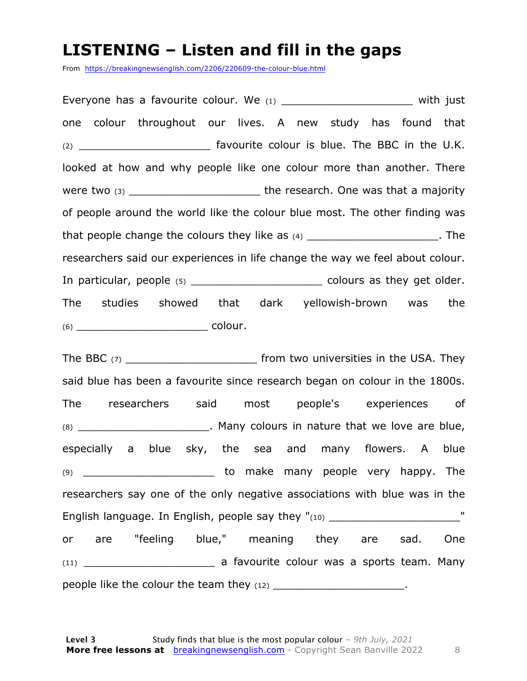#### **LISTENING – Listen and fill in the gaps**

From https://breakingnewsenglish.com/2206/220609-the-colour-blue.html

Everyone has a favourite colour. We (1) \_\_\_\_\_\_\_\_\_\_\_\_\_\_\_\_\_\_\_\_\_\_\_\_\_ with just one colour throughout our lives. A new study has found that (2) \_\_\_\_\_\_\_\_\_\_\_\_\_\_\_\_\_\_\_\_\_\_\_\_\_\_\_ favourite colour is blue. The BBC in the U.K. looked at how and why people like one colour more than another. There were two (3) \_\_\_\_\_\_\_\_\_\_\_\_\_\_\_\_\_\_\_\_\_\_\_\_\_\_\_\_\_\_the research. One was that a majority of people around the world like the colour blue most. The other finding was that people change the colours they like as  $(4)$  \_\_\_\_\_\_\_\_\_\_\_\_\_\_\_\_\_\_\_\_\_\_\_. The researchers said our experiences in life change the way we feel about colour. In particular, people (5) \_\_\_\_\_\_\_\_\_\_\_\_\_\_\_\_\_\_\_\_\_\_\_\_\_\_\_ colours as they get older. The studies showed that dark yellowish-brown was the (6) \_\_\_\_\_\_\_\_\_\_\_\_\_\_\_\_\_\_\_\_ colour.

The BBC  $(7)$  \_\_\_\_\_\_\_\_\_\_\_\_\_\_\_\_\_\_\_\_\_\_\_\_\_\_\_\_\_\_ from two universities in the USA. They said blue has been a favourite since research began on colour in the 1800s. The researchers said most people's experiences of  $(8)$  \_\_\_\_\_\_\_\_\_\_\_\_\_\_\_\_\_\_\_\_\_\_\_\_. Many colours in nature that we love are blue, especially a blue sky, the sea and many flowers. A blue (9) \_\_\_\_\_\_\_\_\_\_\_\_\_\_\_\_\_\_\_\_ to make many people very happy. The researchers say one of the only negative associations with blue was in the English language. In English, people say they "(10) \_\_\_\_\_\_\_\_\_\_\_\_\_\_\_\_\_\_\_\_\_\_\_\_\_\_\_\_ or are "feeling blue," meaning they are sad. One (11) \_\_\_\_\_\_\_\_\_\_\_\_\_\_\_\_\_\_\_\_ a favourite colour was a sports team. Many people like the colour the team they  $(12)$  \_\_\_\_\_\_\_\_\_\_\_\_\_\_\_\_\_\_\_\_\_\_\_.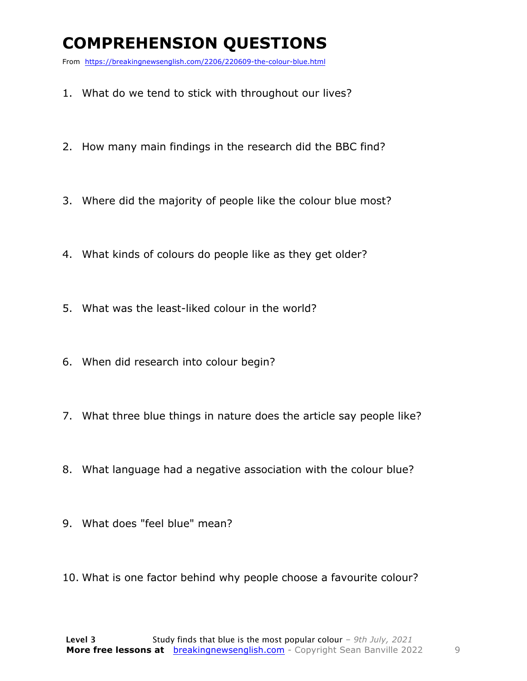### **COMPREHENSION QUESTIONS**

From https://breakingnewsenglish.com/2206/220609-the-colour-blue.html

- 1. What do we tend to stick with throughout our lives?
- 2. How many main findings in the research did the BBC find?
- 3. Where did the majority of people like the colour blue most?
- 4. What kinds of colours do people like as they get older?
- 5. What was the least-liked colour in the world?
- 6. When did research into colour begin?
- 7. What three blue things in nature does the article say people like?
- 8. What language had a negative association with the colour blue?
- 9. What does "feel blue" mean?
- 10. What is one factor behind why people choose a favourite colour?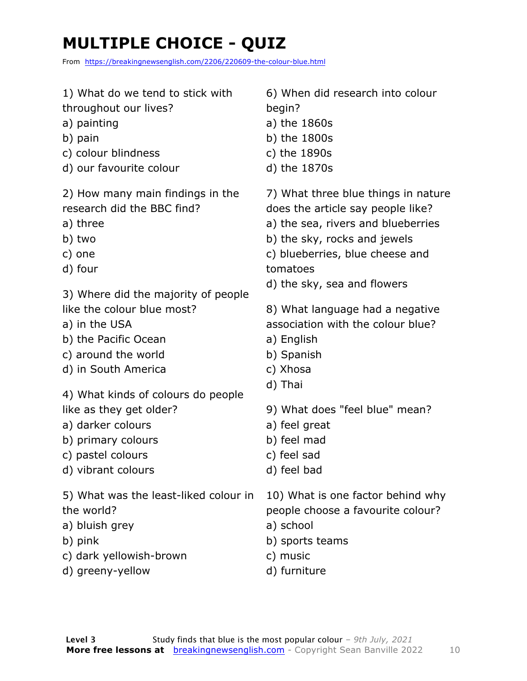### **MULTIPLE CHOICE - QUIZ**

From https://breakingnewsenglish.com/2206/220609-the-colour-blue.html

| 1) What do we tend to stick with                                                                                                                                                                                                                                      | 6) When did research into colour                                                                                                                                                                                                                                                                                                                        |
|-----------------------------------------------------------------------------------------------------------------------------------------------------------------------------------------------------------------------------------------------------------------------|---------------------------------------------------------------------------------------------------------------------------------------------------------------------------------------------------------------------------------------------------------------------------------------------------------------------------------------------------------|
| throughout our lives?                                                                                                                                                                                                                                                 | begin?                                                                                                                                                                                                                                                                                                                                                  |
| a) painting                                                                                                                                                                                                                                                           | a) the 1860s                                                                                                                                                                                                                                                                                                                                            |
| b) pain                                                                                                                                                                                                                                                               | b) the 1800s                                                                                                                                                                                                                                                                                                                                            |
| c) colour blindness                                                                                                                                                                                                                                                   | c) the 1890s                                                                                                                                                                                                                                                                                                                                            |
| d) our favourite colour                                                                                                                                                                                                                                               | d) the 1870s                                                                                                                                                                                                                                                                                                                                            |
| 2) How many main findings in the<br>research did the BBC find?<br>a) three<br>b) two<br>c) one<br>d) four<br>3) Where did the majority of people<br>like the colour blue most?<br>a) in the USA<br>b) the Pacific Ocean<br>c) around the world<br>d) in South America | 7) What three blue things in nature<br>does the article say people like?<br>a) the sea, rivers and blueberries<br>b) the sky, rocks and jewels<br>c) blueberries, blue cheese and<br>tomatoes<br>d) the sky, sea and flowers<br>8) What language had a negative<br>association with the colour blue?<br>a) English<br>b) Spanish<br>c) Xhosa<br>d) Thai |
| 4) What kinds of colours do people<br>like as they get older?<br>a) darker colours<br>b) primary colours<br>c) pastel colours<br>d) vibrant colours                                                                                                                   | 9) What does "feel blue" mean?<br>a) feel great<br>b) feel mad<br>c) feel sad<br>d) feel bad                                                                                                                                                                                                                                                            |
| 5) What was the least-liked colour in                                                                                                                                                                                                                                 | 10) What is one factor behind why                                                                                                                                                                                                                                                                                                                       |
| the world?                                                                                                                                                                                                                                                            | people choose a favourite colour?                                                                                                                                                                                                                                                                                                                       |
| a) bluish grey                                                                                                                                                                                                                                                        | a) school                                                                                                                                                                                                                                                                                                                                               |
| b) pink                                                                                                                                                                                                                                                               | b) sports teams                                                                                                                                                                                                                                                                                                                                         |
| c) dark yellowish-brown                                                                                                                                                                                                                                               | c) music                                                                                                                                                                                                                                                                                                                                                |
| d) greeny-yellow                                                                                                                                                                                                                                                      | d) furniture                                                                                                                                                                                                                                                                                                                                            |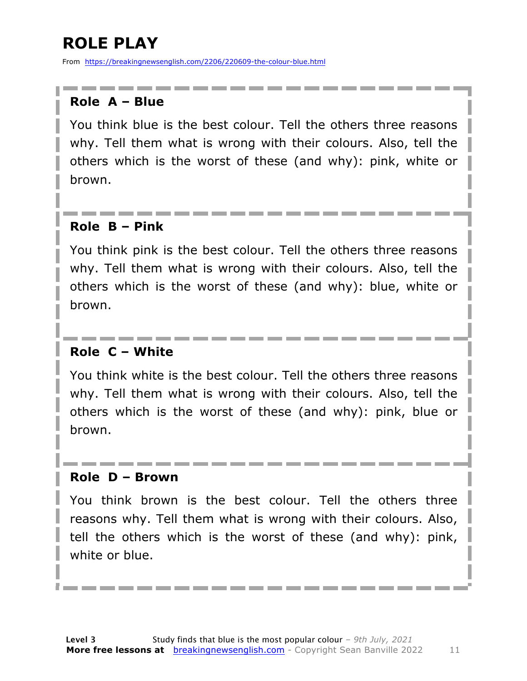### **ROLE PLAY**

From https://breakingnewsenglish.com/2206/220609-the-colour-blue.html

#### **Role A – Blue**

You think blue is the best colour. Tell the others three reasons why. Tell them what is wrong with their colours. Also, tell the others which is the worst of these (and why): pink, white or brown.

#### **Role B – Pink**

You think pink is the best colour. Tell the others three reasons why. Tell them what is wrong with their colours. Also, tell the others which is the worst of these (and why): blue, white or brown.

#### **Role C – White**

You think white is the best colour. Tell the others three reasons why. Tell them what is wrong with their colours. Also, tell the others which is the worst of these (and why): pink, blue or brown.

#### **Role D – Brown**

You think brown is the best colour. Tell the others three reasons why. Tell them what is wrong with their colours. Also, tell the others which is the worst of these (and why): pink, white or blue.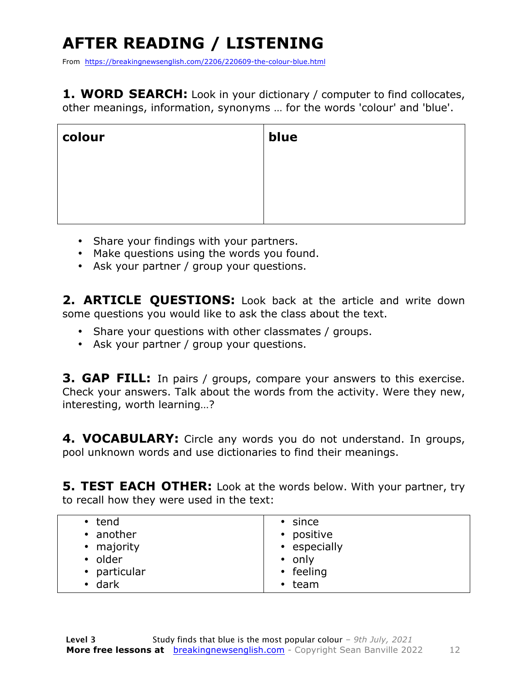## **AFTER READING / LISTENING**

From https://breakingnewsenglish.com/2206/220609-the-colour-blue.html

**1. WORD SEARCH:** Look in your dictionary / computer to find collocates, other meanings, information, synonyms … for the words 'colour' and 'blue'.

| colour | blue |
|--------|------|
|        |      |
|        |      |
|        |      |

- Share your findings with your partners.
- Make questions using the words you found.
- Ask your partner / group your questions.

2. **ARTICLE OUESTIONS:** Look back at the article and write down some questions you would like to ask the class about the text.

- Share your questions with other classmates / groups.
- Ask your partner / group your questions.

**3. GAP FILL:** In pairs / groups, compare your answers to this exercise. Check your answers. Talk about the words from the activity. Were they new, interesting, worth learning…?

**4. VOCABULARY:** Circle any words you do not understand. In groups, pool unknown words and use dictionaries to find their meanings.

**5. TEST EACH OTHER:** Look at the words below. With your partner, try to recall how they were used in the text:

| • tend         | $\cdot$ since |
|----------------|---------------|
| • another      | • positive    |
| • majority     | • especially  |
| • older        | $\cdot$ only  |
| • particular   | • feeling     |
| $\bullet$ dark | $\cdot$ team  |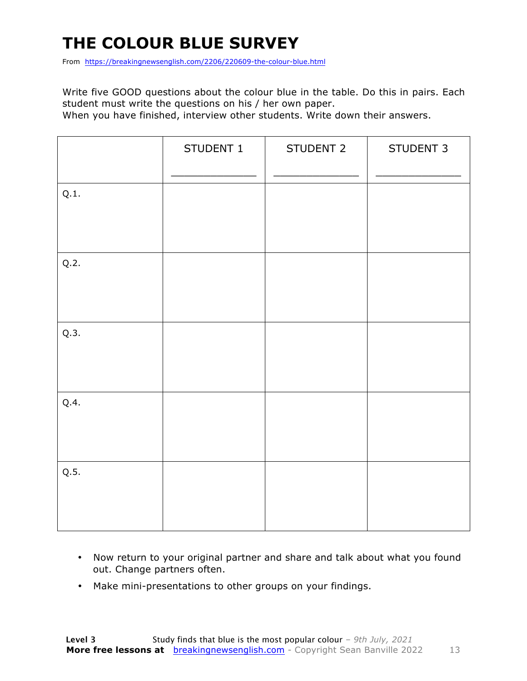### **THE COLOUR BLUE SURVEY**

From https://breakingnewsenglish.com/2206/220609-the-colour-blue.html

Write five GOOD questions about the colour blue in the table. Do this in pairs. Each student must write the questions on his / her own paper.

When you have finished, interview other students. Write down their answers.

|      | STUDENT 1 | STUDENT 2 | STUDENT 3 |
|------|-----------|-----------|-----------|
| Q.1. |           |           |           |
| Q.2. |           |           |           |
| Q.3. |           |           |           |
| Q.4. |           |           |           |
| Q.5. |           |           |           |

- Now return to your original partner and share and talk about what you found out. Change partners often.
- Make mini-presentations to other groups on your findings.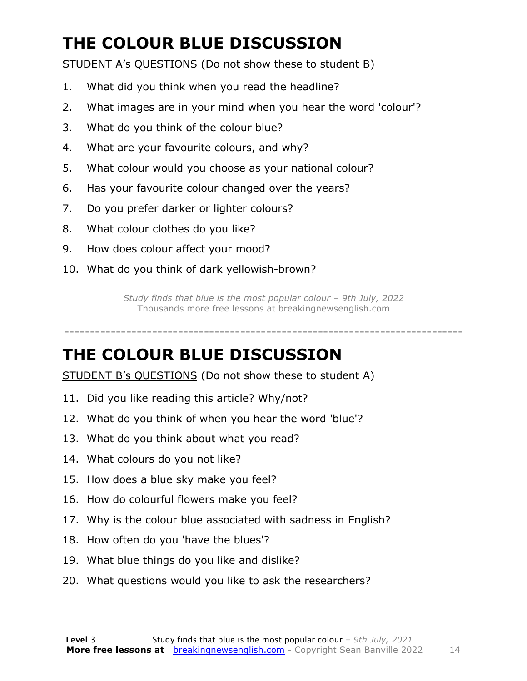### **THE COLOUR BLUE DISCUSSION**

STUDENT A's QUESTIONS (Do not show these to student B)

- 1. What did you think when you read the headline?
- 2. What images are in your mind when you hear the word 'colour'?
- 3. What do you think of the colour blue?
- 4. What are your favourite colours, and why?
- 5. What colour would you choose as your national colour?
- 6. Has your favourite colour changed over the years?
- 7. Do you prefer darker or lighter colours?
- 8. What colour clothes do you like?
- 9. How does colour affect your mood?
- 10. What do you think of dark yellowish-brown?

*Study finds that blue is the most popular colour – 9th July, 2022* Thousands more free lessons at breakingnewsenglish.com

-----------------------------------------------------------------------------

#### **THE COLOUR BLUE DISCUSSION**

STUDENT B's QUESTIONS (Do not show these to student A)

- 11. Did you like reading this article? Why/not?
- 12. What do you think of when you hear the word 'blue'?
- 13. What do you think about what you read?
- 14. What colours do you not like?
- 15. How does a blue sky make you feel?
- 16. How do colourful flowers make you feel?
- 17. Why is the colour blue associated with sadness in English?
- 18. How often do you 'have the blues'?
- 19. What blue things do you like and dislike?
- 20. What questions would you like to ask the researchers?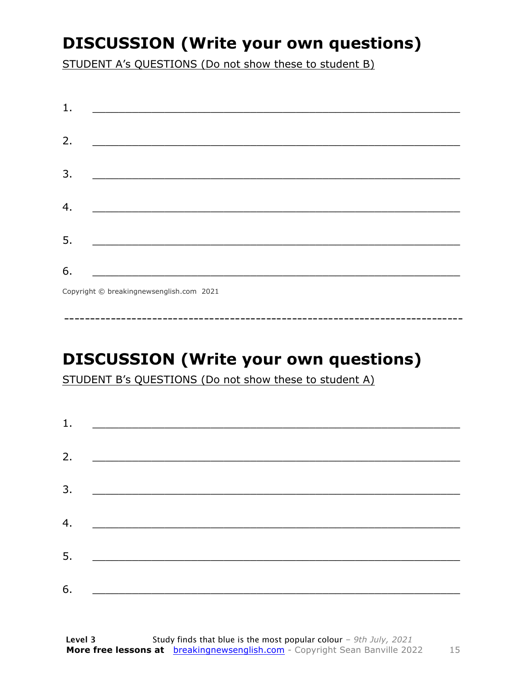### **DISCUSSION (Write your own questions)**

STUDENT A's QUESTIONS (Do not show these to student B)

| 1. |                                                                                                                 |
|----|-----------------------------------------------------------------------------------------------------------------|
|    |                                                                                                                 |
| 2. |                                                                                                                 |
|    |                                                                                                                 |
| 3. |                                                                                                                 |
|    |                                                                                                                 |
| 4. | the contract of the contract of the contract of the contract of the contract of the contract of the contract of |
|    |                                                                                                                 |
| 5. |                                                                                                                 |
|    |                                                                                                                 |
| 6. |                                                                                                                 |
|    | Copyright © breakingnewsenglish.com 2021                                                                        |

### **DISCUSSION (Write your own questions)**

STUDENT B's QUESTIONS (Do not show these to student A)

| 1. |                                                                                                                        |  |
|----|------------------------------------------------------------------------------------------------------------------------|--|
|    |                                                                                                                        |  |
| 2. |                                                                                                                        |  |
| 3. | <u> 1989 - Johann Stoff, deutscher Stoffen und der Stoffen und der Stoffen und der Stoffen und der Stoffen und der</u> |  |
| 4. | <u> 1980 - Jan Barbara Barat, martin da basar da basar da basar da basar da basar da basar da basar da basar da b</u>  |  |
|    |                                                                                                                        |  |
| 5. | <u> 1980 - Jan Barbarat, martin da basar da basar da basar da basar da basar da basar da basar da basar da basar</u>   |  |
| 6. |                                                                                                                        |  |

15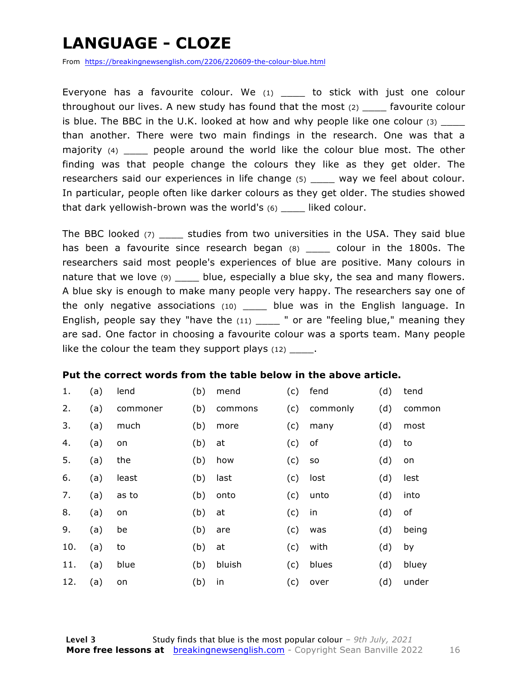### **LANGUAGE - CLOZE**

From https://breakingnewsenglish.com/2206/220609-the-colour-blue.html

Everyone has a favourite colour. We  $(1)$  to stick with just one colour throughout our lives. A new study has found that the most (2) \_\_\_\_ favourite colour is blue. The BBC in the U.K. looked at how and why people like one colour  $(3)$ than another. There were two main findings in the research. One was that a majority (4) \_\_\_\_\_ people around the world like the colour blue most. The other finding was that people change the colours they like as they get older. The researchers said our experiences in life change (5) way we feel about colour. In particular, people often like darker colours as they get older. The studies showed that dark yellowish-brown was the world's  $(6)$  \_\_\_\_ liked colour.

The BBC looked (7) \_\_\_\_\_ studies from two universities in the USA. They said blue has been a favourite since research began (8) \_\_\_\_ colour in the 1800s. The researchers said most people's experiences of blue are positive. Many colours in nature that we love (9) \_\_\_\_ blue, especially a blue sky, the sea and many flowers. A blue sky is enough to make many people very happy. The researchers say one of the only negative associations (10) \_\_\_\_ blue was in the English language. In English, people say they "have the  $(11)$  \_\_\_\_ " or are "feeling blue," meaning they are sad. One factor in choosing a favourite colour was a sports team. Many people like the colour the team they support plays  $(12)$ .

#### **Put the correct words from the table below in the above article.**

| 1.  | (a) | lend     | (b) | mend    | (c) | fend     | (d) | tend   |
|-----|-----|----------|-----|---------|-----|----------|-----|--------|
| 2.  | (a) | commoner | (b) | commons | (c) | commonly | (d) | common |
| 3.  | (a) | much     | (b) | more    | (c) | many     | (d) | most   |
| 4.  | (a) | on       | (b) | at      | (c) | оf       | (d) | to     |
| 5.  | (a) | the      | (b) | how     | (c) | SO.      | (d) | on     |
| 6.  | (a) | least    | (b) | last    | (c) | lost     | (d) | lest   |
| 7.  | (a) | as to    | (b) | onto    | (c) | unto     | (d) | into   |
| 8.  | (a) | on       | (b) | at      | (c) | in       | (d) | of     |
| 9.  | (a) | be       | (b) | are     | (c) | was      | (d) | being  |
| 10. | (a) | to       | (b) | at      | (c) | with     | (d) | by     |
| 11. | (a) | blue     | (b) | bluish  | (c) | blues    | (d) | bluey  |
| 12. | (a) | on       | (b) | in      | (c) | over     | (d) | under  |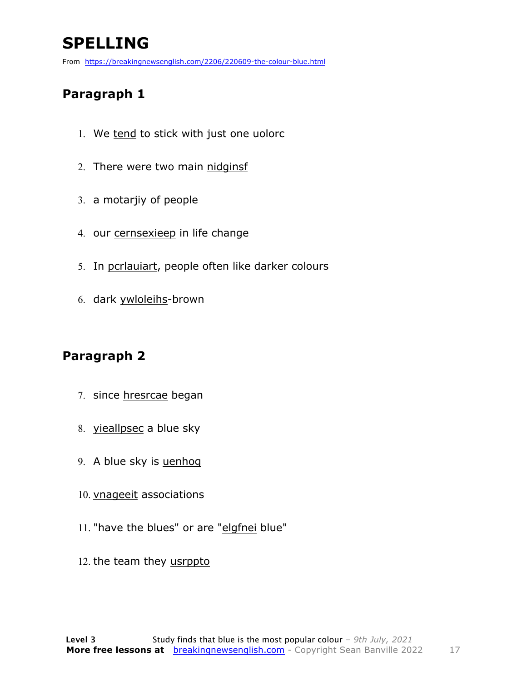### **SPELLING**

From https://breakingnewsenglish.com/2206/220609-the-colour-blue.html

#### **Paragraph 1**

- 1. We tend to stick with just one uolorc
- 2. There were two main nidginsf
- 3. a motarjiy of people
- 4. our cernsexieep in life change
- 5. In pcrlauiart, people often like darker colours
- 6. dark ywloleihs-brown

#### **Paragraph 2**

- 7. since hresrcae began
- 8. yieallpsec a blue sky
- 9. A blue sky is uenhog
- 10. vnageeit associations
- 11. "have the blues" or are "elgfnei blue"
- 12. the team they usrppto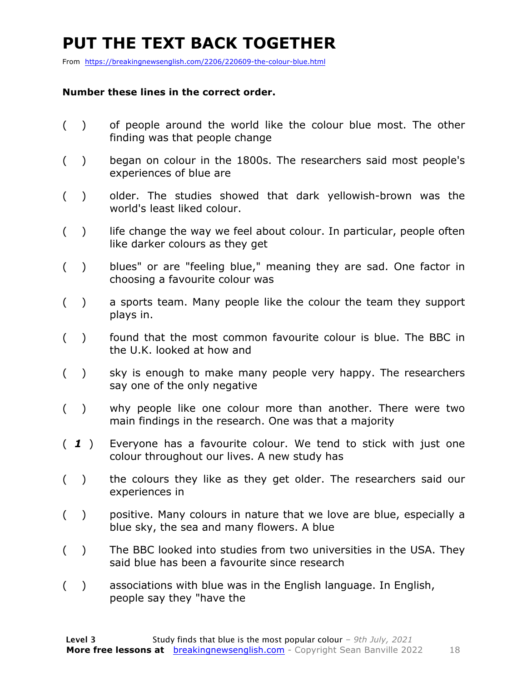### **PUT THE TEXT BACK TOGETHER**

From https://breakingnewsenglish.com/2206/220609-the-colour-blue.html

#### **Number these lines in the correct order.**

- ( ) of people around the world like the colour blue most. The other finding was that people change
- ( ) began on colour in the 1800s. The researchers said most people's experiences of blue are
- ( ) older. The studies showed that dark yellowish-brown was the world's least liked colour.
- $($ ) life change the way we feel about colour. In particular, people often like darker colours as they get
- ( ) blues" or are "feeling blue," meaning they are sad. One factor in choosing a favourite colour was
- ( ) a sports team. Many people like the colour the team they support plays in.
- ( ) found that the most common favourite colour is blue. The BBC in the U.K. looked at how and
- ( ) sky is enough to make many people very happy. The researchers say one of the only negative
- ( ) why people like one colour more than another. There were two main findings in the research. One was that a majority
- ( *1* ) Everyone has a favourite colour. We tend to stick with just one colour throughout our lives. A new study has
- ( ) the colours they like as they get older. The researchers said our experiences in
- ( ) positive. Many colours in nature that we love are blue, especially a blue sky, the sea and many flowers. A blue
- ( ) The BBC looked into studies from two universities in the USA. They said blue has been a favourite since research
- ( ) associations with blue was in the English language. In English, people say they "have the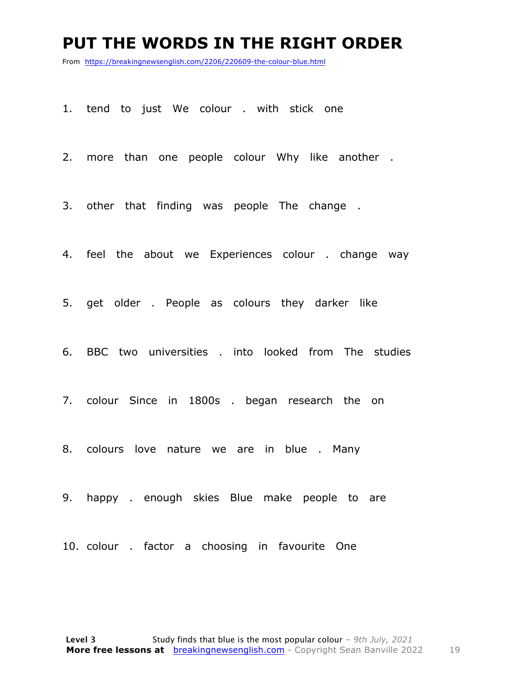#### **PUT THE WORDS IN THE RIGHT ORDER**

From https://breakingnewsenglish.com/2206/220609-the-colour-blue.html

1. tend to just We colour . with stick one

2. more than one people colour Why like another .

3. other that finding was people The change .

4. feel the about we Experiences colour . change way

5. get older . People as colours they darker like

6. BBC two universities . into looked from The studies

7. colour Since in 1800s . began research the on

8. colours love nature we are in blue . Many

9. happy . enough skies Blue make people to are

10. colour . factor a choosing in favourite One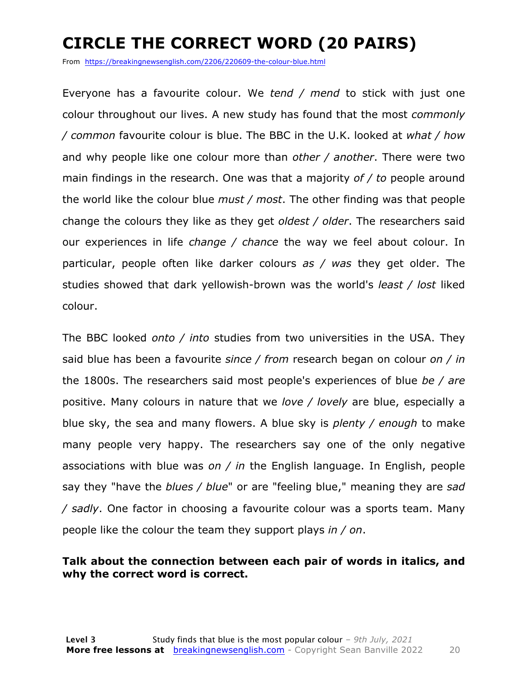### **CIRCLE THE CORRECT WORD (20 PAIRS)**

From https://breakingnewsenglish.com/2206/220609-the-colour-blue.html

Everyone has a favourite colour. We *tend / mend* to stick with just one colour throughout our lives. A new study has found that the most *commonly / common* favourite colour is blue. The BBC in the U.K. looked at *what / how* and why people like one colour more than *other / another*. There were two main findings in the research. One was that a majority *of / to* people around the world like the colour blue *must / most*. The other finding was that people change the colours they like as they get *oldest / older*. The researchers said our experiences in life *change / chance* the way we feel about colour. In particular, people often like darker colours *as / was* they get older. The studies showed that dark yellowish-brown was the world's *least / lost* liked colour.

The BBC looked *onto / into* studies from two universities in the USA. They said blue has been a favourite *since / from* research began on colour *on / in* the 1800s. The researchers said most people's experiences of blue *be / are* positive. Many colours in nature that we *love / lovely* are blue, especially a blue sky, the sea and many flowers. A blue sky is *plenty / enough* to make many people very happy. The researchers say one of the only negative associations with blue was *on / in* the English language. In English, people say they "have the *blues / blue*" or are "feeling blue," meaning they are *sad / sadly*. One factor in choosing a favourite colour was a sports team. Many people like the colour the team they support plays *in / on*.

#### **Talk about the connection between each pair of words in italics, and why the correct word is correct.**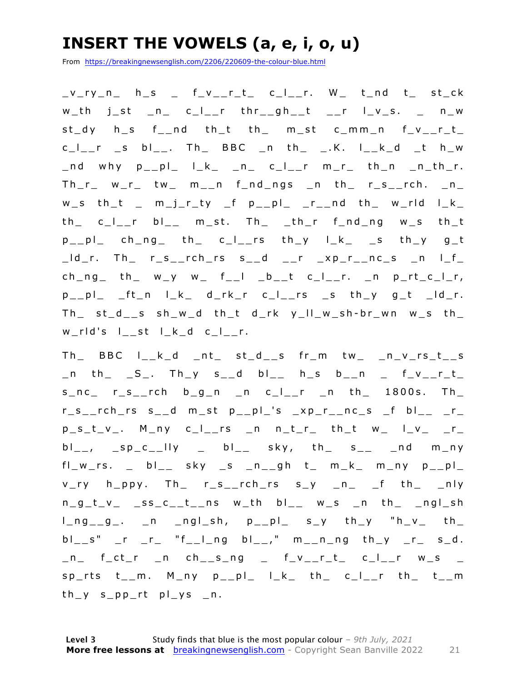### **INSERT THE VOWELS (a, e, i, o, u)**

From https://breakingnewsenglish.com/2206/220609-the-colour-blue.html

 $v_r$ ry\_n\_ h\_s \_ f\_v\_\_r\_t\_ c\_l\_\_r. W\_ t\_nd t\_ st\_ck  $w_th$  j\_st \_n\_ c\_l\_\_r thr\_\_gh\_\_t \_\_r l\_v\_s. \_ n\_w  $st_dy$  h\_s  $f_{-}nd$  th\_t th\_ m\_st c\_mm\_n  $f_v_{-}r_t$  $c_l$ <sub>\_\_</sub>r \_s bl\_\_. Th\_ BBC \_n th\_ \_.K. l\_\_k\_d \_t h\_w  $\_nd$  why  $p\_pl\_$   $l\_k\_$   $\_n\_$   $c\_l\_r$   $m\_r\_$  th $\_n\_$   $n\_th\_r$ .  $Th_r$   $w_r$  tw  $m_n$   $n$  find ngs in the ristrich. In  $w$ <sub>\_</sub>s th\_t \_ m\_j\_r\_ty \_f p\_\_pl\_ \_r\_\_nd th\_ w\_rld l\_k\_ th\_ c\_l\_\_r bl\_\_ m\_st. Th\_ \_th\_r f\_nd\_ng w\_s th\_t  $p_{p}$ |p| ch\_ng| th| c\_l\_\_rs th\_y l\_k\_ \_s th\_y g\_t  $\lfloor d\rfloor$ r. Th $\lfloor r\rfloor$ s $\lfloor r\rfloor$ rch $\lfloor rs\rfloor$ s $\lfloor d\rfloor$   $\lfloor r\rfloor$   $\lfloor xp\rfloor$ r $\lfloor nc\rfloor$ s  $\lfloor n\rfloor$   $\lfloor f\rfloor$  $ch_ng_t$  th  $w_y$   $w_t$   $f_t$   $b_t$   $c_t$   $c_t$   $r$ .  $n$   $p_t$   $r$  $p_{-p}$  $p_{-p}$   $ft_{n}$   $l_{-k}$   $d_{-r}$  $k_{-r}$   $c_{-l_{-r}}$   $rs$   $st_{-s}$   $th_{-y}$   $g_{-t}$   $-d_{-r}$ .  $Th$   $st$ <sub>-</sub> $d$ <sub>-</sub>s  $sh$ <sub>-</sub> $w$ <sub>-</sub> $d$  th<sub>-</sub>t  $d$ <sub>-</sub> $rk$   $y$ <sub>-</sub> $ll$ <sub>-</sub> $w$ <sub>-</sub> $sh$ - $br$ <sub>-</sub> $wn$   $w$ <sub>-</sub> $s$  th<sub>-</sub> w\_rld's l\_\_st l\_k\_d c\_l\_\_r.

 $Th_$  BBC  $l_-\kappa_d$   $nt_$  st\_d\_\_s  $fr_m$  tw\_ \_n\_v\_rs\_t\_\_s  $\_n$  th $\_$   $\_S$  $\_$ . Th $\_y$  s $\_d$  bl $\_$  h $\_s$  b $\_n$   $\_$  f $\_v$  $\_r\_t$  $s_n c$  r\_s\_\_rch  $b_g n$  n c\_l\_\_r \_n th\_ 1800s. Th\_  $r_s$ \_rch\_rs s\_\_d m\_st p\_\_pl\_'s \_xp\_r\_\_nc\_s \_f bl\_\_ \_r\_  $p_s_t_v_v$ . M\_ny c\_I\_\_rs \_n n\_t\_r\_ th\_t w\_ I\_v\_ \_r\_  $bl_{--}$ ,  $sp_{-}c_{--}lly$   $= bl_{--}$  sky, th $_s = s_{--}$  nd m\_ny  $fl_w$ rs.  $_$  bl $_$  sky  $_$ s  $_n$ \_gh t $_$  m $_k$  m $_n$ y p $_$ v\_ry h\_ppy. Th\_ r\_s\_\_rch\_rs s\_y \_n\_ \_f th\_ \_nly  $n_g_t_v - s_s_c_t_t_n$  ns w\_th bl\_\_ w\_s \_n th\_ \_ngl\_sh  $l_n = g_1, \quad n = ng_1, \quad p_n = p_2, \quad s_1, \quad t_2, \quad t_3, \quad t_4, \quad t_5, \quad t_6, \quad t_7, \quad t_8, \quad t_9, \quad t_1, \quad t_2, \quad t_3, \quad t_4, \quad t_6, \quad t_7, \quad t_7, \quad t_8, \quad t_9, \quad t_9, \quad t_1, \quad t_2, \quad t_3, \quad t_4, \quad t_6, \quad t_7, \quad t_7, \quad t_8, \quad t_9, \quad t_9, \quad t_9, \quad t_1, \quad t_2, \quad t$  $bl\_s"$  \_r \_r\_ "f\_\_l\_ng  $bl_{--}$ ," m\_\_n\_ng th\_y \_r\_ s\_d.  $n_$  f\_ct\_r \_n ch\_\_s\_ng \_ f\_v\_\_r\_t\_ c\_l\_\_r w\_s \_  $sp_{1}$ rts t\_m. M\_ny p\_\_pl\_ l\_k\_ th\_ c\_l\_\_r th\_ t\_\_m  $th_y$  s\_pp\_rt pl\_ys \_n.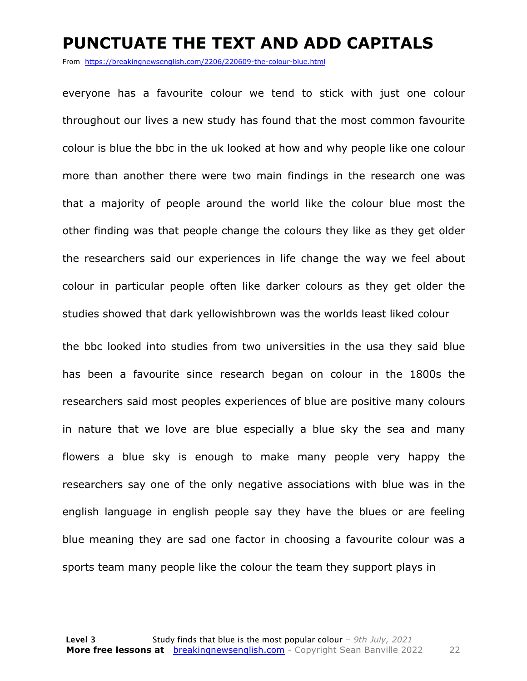#### **PUNCTUATE THE TEXT AND ADD CAPITALS**

From https://breakingnewsenglish.com/2206/220609-the-colour-blue.html

everyone has a favourite colour we tend to stick with just one colour throughout our lives a new study has found that the most common favourite colour is blue the bbc in the uk looked at how and why people like one colour more than another there were two main findings in the research one was that a majority of people around the world like the colour blue most the other finding was that people change the colours they like as they get older the researchers said our experiences in life change the way we feel about colour in particular people often like darker colours as they get older the studies showed that dark yellowishbrown was the worlds least liked colour

the bbc looked into studies from two universities in the usa they said blue has been a favourite since research began on colour in the 1800s the researchers said most peoples experiences of blue are positive many colours in nature that we love are blue especially a blue sky the sea and many flowers a blue sky is enough to make many people very happy the researchers say one of the only negative associations with blue was in the english language in english people say they have the blues or are feeling blue meaning they are sad one factor in choosing a favourite colour was a sports team many people like the colour the team they support plays in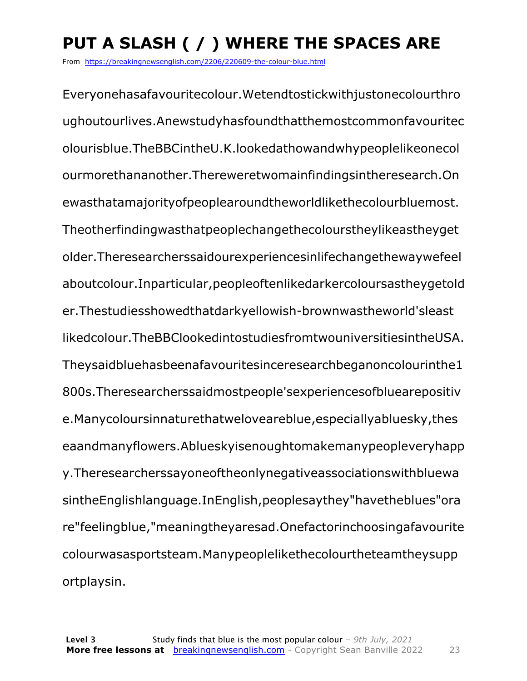### **PUT A SLASH ( / ) WHERE THE SPACES ARE**

From https://breakingnewsenglish.com/2206/220609-the-colour-blue.html

Everyonehasafavouritecolour.Wetendtostickwithjustonecolourthro ughoutourlives.Anewstudyhasfoundthatthemostcommonfavouritec olourisblue.TheBBCintheU.K.lookedathowandwhypeoplelikeonecol ourmorethananother.Thereweretwomainfindingsintheresearch.On ewasthatamajorityofpeoplearoundtheworldlikethecolourbluemost. Theotherfindingwasthatpeoplechangethecolourstheylikeastheyget older.Theresearcherssaidourexperiencesinlifechangethewaywefeel aboutcolour.Inparticular,peopleoftenlikedarkercoloursastheygetold er.Thestudiesshowedthatdarkyellowish-brownwastheworld'sleast likedcolour.TheBBClookedintostudiesfromtwouniversitiesintheUSA. Theysaidbluehasbeenafavouritesinceresearchbeganoncolourinthe1 800s.Theresearcherssaidmostpeople'sexperiencesofbluearepositiv e.Manycoloursinnaturethatweloveareblue,especiallyabluesky,thes eaandmanyflowers.Ablueskyisenoughtomakemanypeopleveryhapp y.Theresearcherssayoneoftheonlynegativeassociationswithbluewa sintheEnglishlanguage.InEnglish,peoplesaythey"havetheblues"ora re"feelingblue,"meaningtheyaresad.Onefactorinchoosingafavourite colourwasasportsteam.Manypeoplelikethecolourtheteamtheysupp ortplaysin.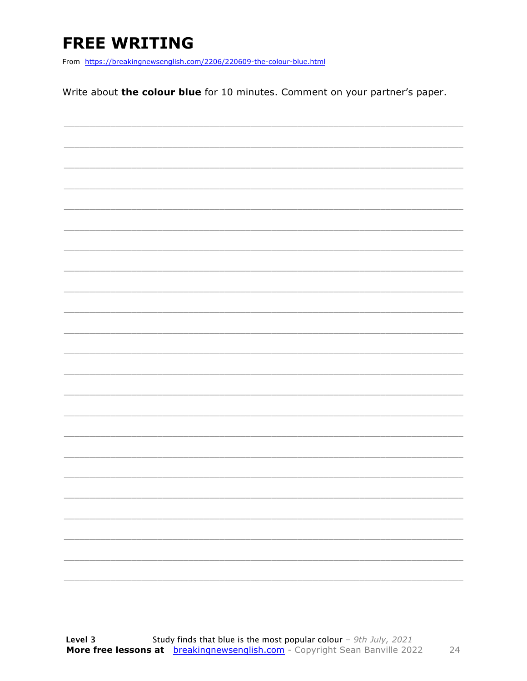### **FREE WRITING**

From https://breakingnewsenglish.com/2206/220609-the-colour-blue.html

Write about the colour blue for 10 minutes. Comment on your partner's paper.

|  |  |  | ____                     |
|--|--|--|--------------------------|
|  |  |  |                          |
|  |  |  | $\overline{\phantom{0}}$ |
|  |  |  |                          |
|  |  |  |                          |
|  |  |  |                          |
|  |  |  |                          |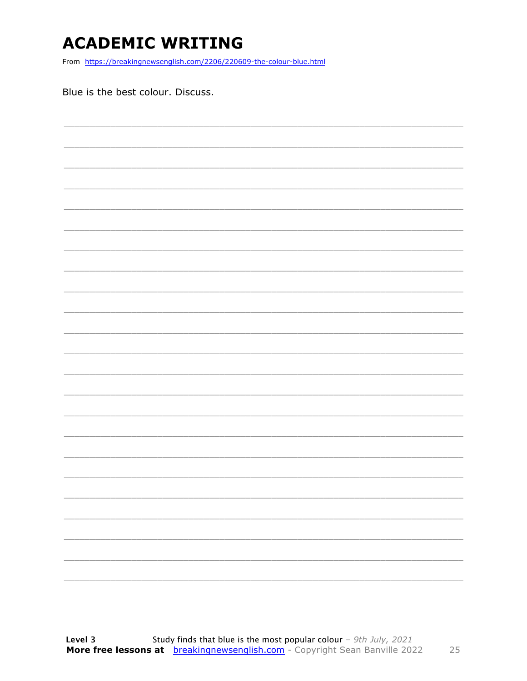### **ACADEMIC WRITING**

From https://breakingnewsenglish.com/2206/220609-the-colour-blue.html

Blue is the best colour. Discuss.

25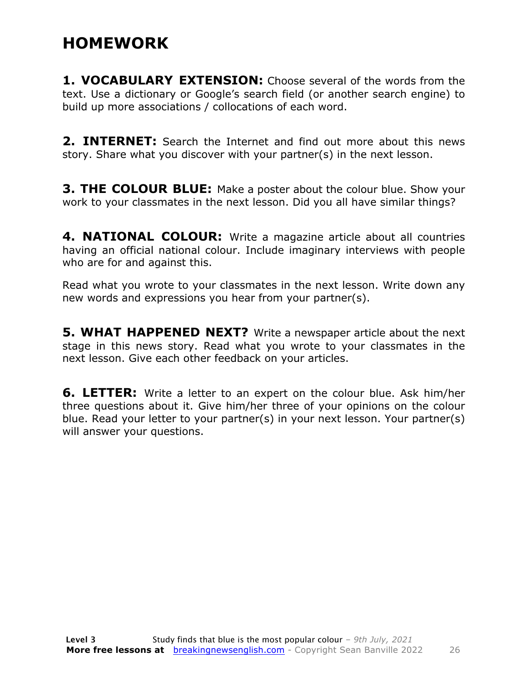### **HOMEWORK**

**1. VOCABULARY EXTENSION:** Choose several of the words from the text. Use a dictionary or Google's search field (or another search engine) to build up more associations / collocations of each word.

**2. INTERNET:** Search the Internet and find out more about this news story. Share what you discover with your partner(s) in the next lesson.

**3. THE COLOUR BLUE:** Make a poster about the colour blue. Show your work to your classmates in the next lesson. Did you all have similar things?

**4. NATIONAL COLOUR:** Write a magazine article about all countries having an official national colour. Include imaginary interviews with people who are for and against this.

Read what you wrote to your classmates in the next lesson. Write down any new words and expressions you hear from your partner(s).

**5. WHAT HAPPENED NEXT?** Write a newspaper article about the next stage in this news story. Read what you wrote to your classmates in the next lesson. Give each other feedback on your articles.

**6. LETTER:** Write a letter to an expert on the colour blue. Ask him/her three questions about it. Give him/her three of your opinions on the colour blue. Read your letter to your partner(s) in your next lesson. Your partner(s) will answer your questions.